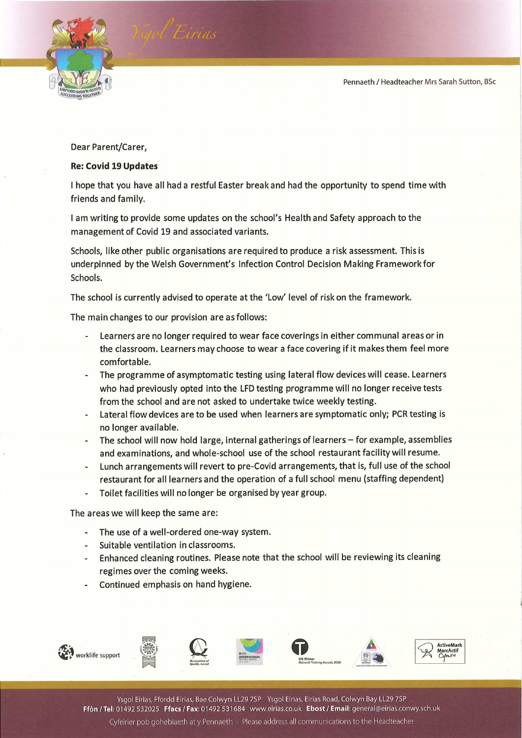

Dear Parent/Carer,

## Re: Covid 19 Updates

I hope that you have all had a restful Easter break and had the opportunity to spend time with friends and family.

| am writing to provide some updates on the school's Health and Safety approach to the management of Covid 19 and associated variants.

Schools, like other public organisations are required to produce a risk assessment. This is underpinned by the Welsh Government's Infection Control Decision Making Framework for Schools.

The school is currently advised to operate at the 'Low' level of risk on the framework.

The main changes to our provision are as follows:

- Learners are no longer required to wear face coverings in either communal areas or in the classroom. Learners may choose to wear a face covering if it makes them feel more comfortable.
- The programme of asymptomatic testing using lateral flow devices will cease. Learners who had previously opted into the LFD testing programme will no longer receive tests from the school and are not asked to undertake twice weekly testing.
- Lateral flow devices are to be used when learners are symptomatic only; PCR testing is no longer available.
- The school will now hold large, internal gatherings of learners for example, assemblies and examinations, and whole-school use of the school restaurant facility will resume.
- Lunch arrangements will revert to pre-Covid arrangements, that is, full use of the school restaurant for all learners and the operation of a full school menu (staffing dependent)
- Toilet facilities will no longer be organised by year group.

The areas we will keep the same are:

- The use of a well-ordered one-way system.
- Suitable ventilation in classrooms.
- Enhanced cleaning routines. Please note that the school will be reviewing its cleaning regimes over the coming weeks.
- Continued emphasis on hand hygiene.